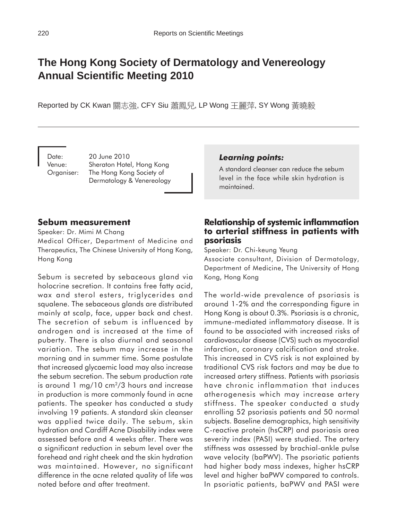# **The Hong Kong Society of Dermatology and Venereology Annual Scientific Meeting 2010**

Reported by CK Kwan 關志強, CFY Siu 蕭鳳兒, LP Wong 王麗萍, SY Wong 黃曉毅

Date: 20 June 2010 Venue: Sheraton Hotel, Hong Kong Organiser: The Hong Kong Society of Dermatology & Venereology

# **Sebum measurement**

Speaker: Dr. Mimi M Chang Medical Officer, Department of Medicine and Therapeutics, The Chinese University of Hong Kong, Hong Kong

Sebum is secreted by sebaceous gland via holocrine secretion. It contains free fatty acid, wax and sterol esters, triglycerides and squalene. The sebaceous glands are distributed mainly at scalp, face, upper back and chest. The secretion of sebum is influenced by androgen and is increased at the time of puberty. There is also diurnal and seasonal variation. The sebum may increase in the morning and in summer time. Some postulate that increased glycaemic load may also increase the sebum secretion. The sebum production rate is around 1 mg/10  $\text{cm}^2/3$  hours and increase in production is more commonly found in acne patients. The speaker has conducted a study involving 19 patients. A standard skin cleanser was applied twice daily. The sebum, skin hydration and Cardiff Acne Disability index were assessed before and 4 weeks after. There was a significant reduction in sebum level over the forehead and right cheek and the skin hydration was maintained. However, no significant difference in the acne related quality of life was noted before and after treatment.

# *Learning points:*

A standard cleanser can reduce the sebum level in the face while skin hydration is maintained.

# **Relationship of systemic inflammation to arterial stiffness in patients with psoriasis**

Speaker: Dr. Chi-keung Yeung

Associate consultant, Division of Dermatology, Department of Medicine, The University of Hong Kong, Hong Kong

The world-wide prevalence of psoriasis is around 1-2% and the corresponding figure in Hong Kong is about 0.3%. Psoriasis is a chronic, immune-mediated inflammatory disease. It is found to be associated with increased risks of cardiovascular disease (CVS) such as myocardial infarction, coronary calcification and stroke. This increased in CVS risk is not explained by traditional CVS risk factors and may be due to increased artery stiffness. Patients with psoriasis have chronic inflammation that induces atherogenesis which may increase artery stiffness. The speaker conducted a study enrolling 52 psoriasis patients and 50 normal subjects. Baseline demographics, high sensitivity C-reactive protein (hsCRP) and psoriasis area severity index (PASI) were studied. The artery stiffness was assessed by brachial-ankle pulse wave velocity (baPWV). The psoriatic patients had higher body mass indexes, higher hsCRP level and higher baPWV compared to controls. In psoriatic patients, baPWV and PASI were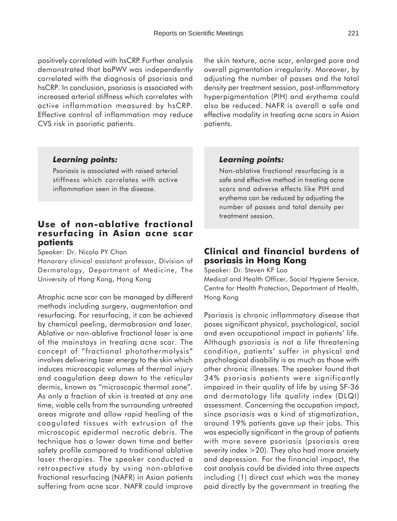positively correlated with hsCRP. Further analysis demonstrated that baPWV was independently correlated with the diagnosis of psoriasis and hsCRP. In conclusion, psoriasis is associated with increased arterial stiffness which correlates with active inflammation measured by hsCRP. Effective control of inflammation may reduce CVS risk in psoriatic patients.

the skin texture, acne scar, enlarged pore and overall pigmentation irregularity. Moreover, by adjusting the number of passes and the total density per treatment session, post-inflammatory hyperpigmentation (PIH) and erythema could also be reduced. NAFR is overall a safe and effective modality in treating acne scars in Asian patients.

#### *Learning points:*

Psoriasis is associated with raised arterial stiffness which correlates with active inflammation seen in the disease.

# **Use of non-ablative fractional resurfacing in Asian acne scar patients**

Speaker: Dr. Nicola PY Chan

Honorary clinical assistant professor, Division of Dermatology, Department of Medicine, The University of Hong Kong, Hong Kong

Atrophic acne scar can be managed by different methods including surgery, augmentation and resurfacing. For resurfacing, it can be achieved by chemical peeling, dermabrasion and laser. Ablative or non-ablative fractional laser is one of the mainstays in treating acne scar. The concept of "fractional photothermolysis" involves delivering laser energy to the skin which induces microscopic volumes of thermal injury and coagulation deep down to the reticular dermis, known as "microscopic thermal zone". As only a fraction of skin is treated at any one time, viable cells from the surrounding untreated areas migrate and allow rapid healing of the coagulated tissues with extrusion of the microscopic epidermal necrotic debris. The technique has a lower down time and better safety profile compared to traditional ablative laser therapies. The speaker conducted a retrospective study by using non-ablative fractional resurfacing (NAFR) in Asian patients suffering from acne scar. NAFR could improve

#### *Learning points:*

Non-ablative fractional resurfacing is a safe and effective method in treating acne scars and adverse effects like PIH and erythema can be reduced by adjusting the number of passes and total density per treatment session.

# **Clinical and financial burdens of psoriasis in Hong Kong**

Speaker: Dr. Steven KF Loo

Medical and Health Officer, Social Hygiene Service, Centre for Health Protection, Department of Health, Hong Kong

Psoriasis is chronic inflammatory disease that poses significant physical, psychological, social and even occupational impact in patients' life. Although psoriasis is not a life threatening condition, patients' suffer in physical and psychological disability is as much as those with other chronic illnesses. The speaker found that 34% psoriasis patients were significantly impaired in their quality of life by using SF-36 and dermatology life quality index (DLQI) assessment. Concerning the occupation impact, since psoriasis was a kind of stigmatization, around 19% patients gave up their jobs. This was especially significant in the group of patients with more severe psoriasis (psoriasis area severity index >20). They also had more anxiety and depression. For the financial impact, the cost analysis could be divided into three aspects including (1) direct cost which was the money paid directly by the government in treating the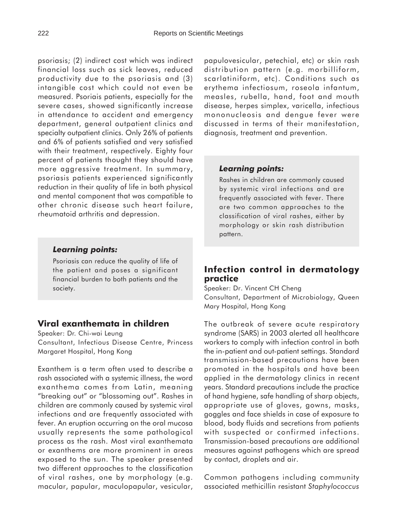psoriasis; (2) indirect cost which was indirect financial loss such as sick leaves, reduced productivity due to the psoriasis and (3) intangible cost which could not even be measured. Psoriais patients, especially for the severe cases, showed significantly increase in attendance to accident and emergency department, general outpatient clinics and specialty outpatient clinics. Only 26% of patients and 6% of patients satisfied and very satisfied with their treatment, respectively. Eighty four percent of patients thought they should have more aggressive treatment. In summary, psoriasis patients experienced significantly reduction in their quality of life in both physical and mental component that was compatible to other chronic disease such heart failure, rheumatoid arthritis and depression.

#### *Learning points:*

Psoriasis can reduce the quality of life of the patient and poses a significant financial burden to both patients and the society.

# **Viral exanthemata in children**

Speaker: Dr. Chi-wai Leung Consultant, Infectious Disease Centre, Princess Margaret Hospital, Hong Kong

Exanthem is a term often used to describe a rash associated with a systemic illness, the word exanthema comes from Latin, meaning "breaking out" or "blossoming out". Rashes in children are commonly caused by systemic viral infections and are frequently associated with fever. An eruption occurring on the oral mucosa usually represents the same pathological process as the rash. Most viral exanthemata or exanthems are more prominent in areas exposed to the sun. The speaker presented two different approaches to the classification of viral rashes, one by morphology (e.g. macular, papular, maculopapular, vesicular,

papulovesicular, petechial, etc) or skin rash distribution pattern (e.g. morbilliform, scarlatiniform, etc). Conditions such as erythema infectiosum, roseola infantum, measles, rubella, hand, foot and mouth disease, herpes simplex, varicella, infectious mononucleosis and dengue fever were discussed in terms of their manifestation, diagnosis, treatment and prevention.

#### *Learning points:*

Rashes in children are commonly caused by systemic viral infections and are frequently associated with fever. There are two common approaches to the classification of viral rashes, either by morphology or skin rash distribution pattern.

# **Infection control in dermatology practice**

Speaker: Dr. Vincent CH Cheng Consultant, Department of Microbiology, Queen Mary Hospital, Hong Kong

The outbreak of severe acute respiratory syndrome (SARS) in 2003 alerted all healthcare workers to comply with infection control in both the in-patient and out-patient settings. Standard transmission-based precautions have been promoted in the hospitals and have been applied in the dermatology clinics in recent years. Standard precautions include the practice of hand hygiene, safe handling of sharp objects, appropriate use of gloves, gowns, masks, goggles and face shields in case of exposure to blood, body fluids and secretions from patients with suspected or confirmed infections. Transmission-based precautions are additional measures against pathogens which are spread by contact, droplets and air.

Common pathogens including community associated methicillin resistant *Staphylococcus*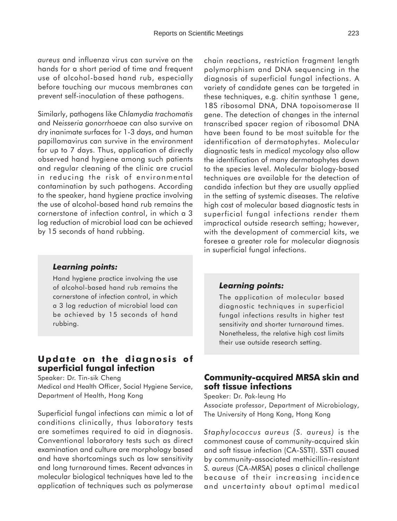*aureus* and influenza virus can survive on the hands for a short period of time and frequent use of alcohol-based hand rub, especially before touching our mucous membranes can prevent self-inoculation of these pathogens.

Similarly, pathogens like *Chlamydia trachomatis* and *Neisseria gonorrhoeae* can also survive on dry inanimate surfaces for 1-3 days, and human papillomavirus can survive in the environment for up to 7 days. Thus, application of directly observed hand hygiene among such patients and regular cleaning of the clinic are crucial in reducing the risk of environmental contamination by such pathogens. According to the speaker, hand hygiene practice involving the use of alcohol-based hand rub remains the cornerstone of infection control, in which a 3 log reduction of microbial load can be achieved by 15 seconds of hand rubbing.

#### *Learning points:*

Hand hygiene practice involving the use of alcohol-based hand rub remains the cornerstone of infection control, in which a 3 log reduction of microbial load can be achieved by 15 seconds of hand rubbing.

# **Update on the diagnosis of superficial fungal infection**

Speaker: Dr. Tin-sik Cheng Medical and Health Officer, Social Hygiene Service, Department of Health, Hong Kong

Superficial fungal infections can mimic a lot of conditions clinically, thus laboratory tests are sometimes required to aid in diagnosis. Conventional laboratory tests such as direct examination and culture are morphology based and have shortcomings such as low sensitivity and long turnaround times. Recent advances in molecular biological techniques have led to the application of techniques such as polymerase

chain reactions, restriction fragment length polymorphism and DNA sequencing in the diagnosis of superficial fungal infections. A variety of candidate genes can be targeted in these techniques, e.g. chitin synthase 1 gene, 18S ribosomal DNA, DNA topoisomerase II gene. The detection of changes in the internal transcribed spacer region of ribosomal DNA have been found to be most suitable for the identification of dermatophytes. Molecular diagnostic tests in medical mycology also allow the identification of many dermatophytes down to the species level. Molecular biology-based techniques are available for the detection of candida infection but they are usually applied in the setting of systemic diseases. The relative high cost of molecular based diagnostic tests in superficial fungal infections render them impractical outside research setting; however, with the development of commercial kits, we foresee a greater role for molecular diagnosis in superficial fungal infections.

#### *Learning points:*

The application of molecular based diagnostic techniques in superficial fungal infections results in higher test sensitivity and shorter turnaround times. Nonetheless, the relative high cost limits their use outside research setting.

#### **Community-acquired MRSA skin and soft tissue infections**

Speaker: Dr. Pak-leung Ho Associate professor, Department of Microbiology, The University of Hong Kong, Hong Kong

*Staphylococcus aureus (S. aureus)* is the commonest cause of community-acquired skin and soft tissue infection (CA-SSTI). SSTI caused by community-associated methicillin-resistant *S. aureus* (CA-MRSA) poses a clinical challenge because of their increasing incidence and uncertainty about optimal medical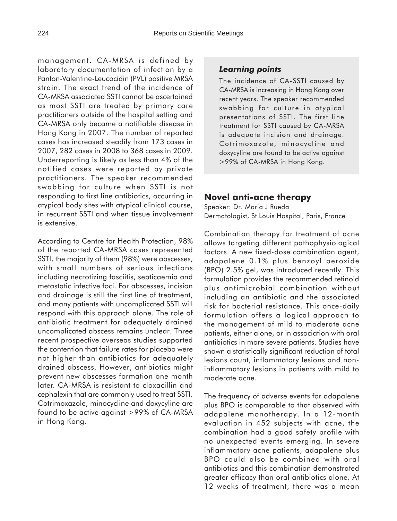management. CA-MRSA is defined by laboratory documentation of infection by a Panton-Valentine-Leucocidin (PVL) positive MRSA strain. The exact trend of the incidence of CA-MRSA associated SSTI cannot be ascertained as most SSTI are treated by primary care practitioners outside of the hospital setting and CA-MRSA only became a notifiable disease in Hong Kong in 2007. The number of reported cases has increased steadily from 173 cases in 2007, 282 cases in 2008 to 368 cases in 2009. Underreporting is likely as less than 4% of the notified cases were reported by private practitioners. The speaker recommended swabbing for culture when SSTI is not responding to first line antibiotics, occurring in atypical body sites with atypical clinical course, in recurrent SSTI and when tissue involvement is extensive.

According to Centre for Health Protection, 98% of the reported CA-MRSA cases represented SSTI, the majority of them (98%) were abscesses, with small numbers of serious infections including necrotizing fasciitis, septicaemia and metastatic infective foci. For abscesses, incision and drainage is still the first line of treatment, and many patients with uncomplicated SSTI will respond with this approach alone. The role of antibiotic treatment for adequately drained uncomplicated abscess remains unclear. Three recent prospective overseas studies supported the contention that failure rates for placebo were not higher than antibiotics for adequately drained abscess. However, antibiotics might prevent new abscesses formation one month later. CA-MRSA is resistant to cloxacillin and cephalexin that are commonly used to treat SSTI. Cotrimoxazole, minocycline and doxycyline are found to be active against >99% of CA-MRSA in Hong Kong.

#### *Learning points*

The incidence of CA-SSTI caused by CA-MRSA is increasing in Hong Kong over recent years. The speaker recommended swabbing for culture in atypical presentations of SSTI. The first line treatment for SSTI caused by CA-MRSA is adequate incision and drainage. Cotrimoxazole, minocycline and doxycyline are found to be active against >99% of CA-MRSA in Hong Kong.

### **Novel anti-acne therapy**

Speaker: Dr. Maria J Rueda Dermatologist, St Louis Hospital, Paris, France

Combination therapy for treatment of acne allows targeting different pathophysiological factors. A new fixed-dose combination agent, adapalene 0.1% plus benzoyl peroxide (BPO) 2.5% gel, was introduced recently. This formulation provides the recommended retinoid plus antimicrobial combination without including an antibiotic and the associated risk for bacterial resistance. This once-daily formulation offers a logical approach to the management of mild to moderate acne patients, either alone, or in association with oral antibiotics in more severe patients. Studies have shown a statistically significant reduction of total lesions count, inflammatory lesions and noninflammatory lesions in patients with mild to moderate acne.

The frequency of adverse events for adapalene plus BPO is comparable to that observed with adapalene monotherapy. In a 12-month evaluation in 452 subjects with acne, the combination had a good safety profile with no unexpected events emerging. In severe inflammatory acne patients, adapalene plus BPO could also be combined with oral antibiotics and this combination demonstrated greater efficacy than oral antibiotics alone. At 12 weeks of treatment, there was a mean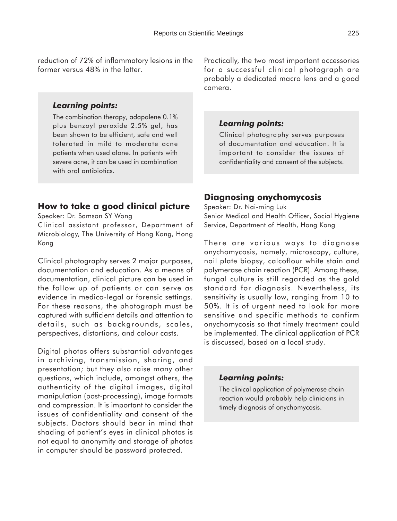reduction of 72% of inflammatory lesions in the former versus 48% in the latter.

#### *Learning points:*

The combination therapy, adapalene 0.1% plus benzoyl peroxide 2.5% gel, has been shown to be efficient, safe and well tolerated in mild to moderate acne patients when used alone. In patients with severe acne, it can be used in combination with oral antibiotics.

# **How to take a good clinical picture**

Speaker: Dr. Samson SY Wong

Clinical assistant professor, Department of Microbiology, The University of Hong Kong, Hong Kong

Clinical photography serves 2 major purposes, documentation and education. As a means of documentation, clinical picture can be used in the follow up of patients or can serve as evidence in medico-legal or forensic settings. For these reasons, the photograph must be captured with sufficient details and attention to details, such as backgrounds, scales, perspectives, distortions, and colour casts.

Digital photos offers substantial advantages in archiving, transmission, sharing, and presentation; but they also raise many other questions, which include, amongst others, the authenticity of the digital images, digital manipulation (post-processing), image formats and compression. It is important to consider the issues of confidentiality and consent of the subjects. Doctors should bear in mind that shading of patient's eyes in clinical photos is not equal to anonymity and storage of photos in computer should be password protected.

Practically, the two most important accessories for a successful clinical photograph are probably a dedicated macro lens and a good camera.

#### *Learning points:*

Clinical photography serves purposes of documentation and education. It is important to consider the issues of confidentiality and consent of the subjects.

#### **Diagnosing onychomycosis**

Speaker: Dr. Nai-ming Luk Senior Medical and Health Officer, Social Hygiene Service, Department of Health, Hong Kong

There are various ways to diagnose onychomycosis, namely, microscopy, culture, nail plate biopsy, calcoflour white stain and polymerase chain reaction (PCR). Among these, fungal culture is still regarded as the gold standard for diagnosis. Nevertheless, its sensitivity is usually low, ranging from 10 to 50%. It is of urgent need to look for more sensitive and specific methods to confirm onychomycosis so that timely treatment could be implemented. The clinical application of PCR is discussed, based on a local study.

#### *Learning points:*

The clinical application of polymerase chain reaction would probably help clinicians in timely diagnosis of onychomycosis.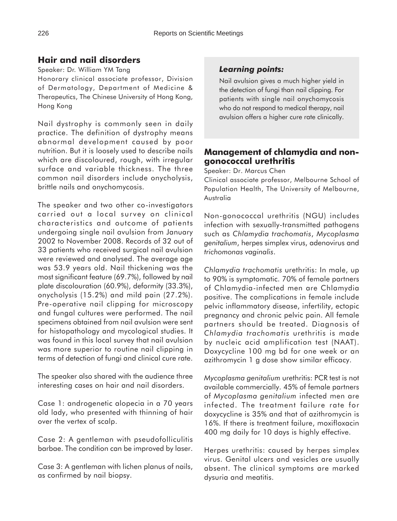# **Hair and nail disorders**

Speaker: Dr. William YM Tang Honorary clinical associate professor, Division of Dermatology, Department of Medicine & Therapeutics, The Chinese University of Hong Kong, Hong Kong

Nail dystrophy is commonly seen in daily practice. The definition of dystrophy means abnormal development caused by poor nutrition. But it is loosely used to describe nails which are discoloured, rough, with irregular surface and variable thickness. The three common nail disorders include onycholysis, brittle nails and onychomycosis.

The speaker and two other co-investigators carried out a local survey on clinical characteristics and outcome of patients undergoing single nail avulsion from January 2002 to November 2008. Records of 32 out of 33 patients who received surgical nail avulsion were reviewed and analysed. The average age was 53.9 years old. Nail thickening was the most significant feature (69.7%), followed by nail plate discolouration (60.9%), deformity (33.3%), onycholysis (15.2%) and mild pain (27.2%). Pre-operative nail clipping for microscopy and fungal cultures were performed. The nail specimens obtained from nail avulsion were sent for histopathology and mycological studies. It was found in this local survey that nail avulsion was more superior to routine nail clipping in terms of detection of fungi and clinical cure rate.

The speaker also shared with the audience three interesting cases on hair and nail disorders.

Case 1: androgenetic alopecia in a 70 years old lady, who presented with thinning of hair over the vertex of scalp.

Case 2: A gentleman with pseudofolliculitis barbae. The condition can be improved by laser.

Case 3: A gentleman with lichen planus of nails, as confirmed by nail biopsy.

# *Learning points:*

Nail avulsion gives a much higher yield in the detection of fungi than nail clipping. For patients with single nail onychomycosis who do not respond to medical therapy, nail avulsion offers a higher cure rate clinically.

# **Management of chlamydia and nongonococcal urethritis**

Speaker: Dr. Marcus Chen

Clinical associate professor, Melbourne School of Population Health, The University of Melbourne, Australia

Non-gonococcal urethritis (NGU) includes infection with sexually-transmitted pathogens such as *Chlamydia trachomatis*, *Mycoplasma genitalium*, herpes simplex virus, adenovirus and *trichomonas vaginalis*.

*Chlamydia trachomatis* urethritis: In male, up to 90% is symptomatic. 70% of female partners of Chlamydia-infected men are Chlamydia positive. The complications in female include pelvic inflammatory disease, infertility, ectopic pregnancy and chronic pelvic pain. All female partners should be treated. Diagnosis of *Chlamydia trachomatis* urethritis is made by nucleic acid amplification test (NAAT). Doxycycline 100 mg bd for one week or an azithromycin 1 g dose show similar efficacy.

*Mycoplasma genitalium* urethritis: PCR test is not available commercially. 45% of female partners of *Mycoplasma genitalium* infected men are infected. The treatment failure rate for doxycycline is 35% and that of azithromycin is 16%. If there is treatment failure, moxifloxacin 400 mg daily for 10 days is highly effective.

Herpes urethritis: caused by herpes simplex virus. Genital ulcers and vesicles are usually absent. The clinical symptoms are marked dysuria and meatitis.